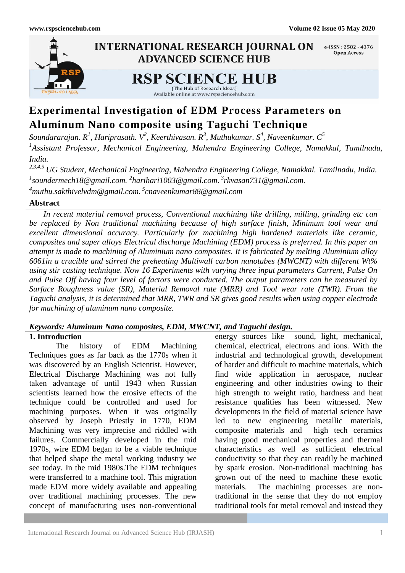

# **Experimental Investigation of EDM Process Parameters on Aluminum Nano composite using Taguchi Technique**

*Soundararajan. R<sup>1</sup> , Hariprasath. V<sup>2</sup> , Keerthivasan. R<sup>3</sup> , Muthukumar. S<sup>4</sup> , Naveenkumar. C<sup>5</sup> 1 Assistant Professor, Mechanical Engineering, Mahendra Engineering College, Namakkal, Tamilnadu, India.*

*2.3.4.5 UG Student, Mechanical Engineering, Mahendra Engineering College, Namakkal. Tamilnadu, India. 1 [soundermech18@gmail.com.](mailto:1soundermech18@gmail.com) 2 [harihari1003@gmail.com](mailto:2harihari1003@gmail.com)*. *3 [rkvasan731@gmail.com.](mailto:3rkvasan731@gmail.com) <sup>4</sup>[muthu.sakthivelvdm@gmail.com](mailto:4muthu.sakthivelvdm@gmail.com)*. *5 cnaveenkumar88@gmail.com*

# **Abstract**

 *In recent material removal process, Conventional machining like drilling, milling, grinding etc can be replaced by Non traditional machining because of high surface finish, Minimum tool wear and excellent dimensional accuracy. Particularly for machining high hardened materials like ceramic, composites and super alloys Electrical discharge Machining (EDM) process is preferred. In this paper an attempt is made to machining of Aluminium nano composites. It is fabricated by melting Aluminium alloy 6061in a crucible and stirred the preheating Multiwall carbon nanotubes (MWCNT) with different Wt% using stir casting technique. Now 16 Experiments with varying three input parameters Current, Pulse On and Pulse Off having four level of factors were conducted. The output parameters can be measured by Surface Roughness value (SR), Material Removal rate (MRR) and Tool wear rate (TWR). From the Taguchi analysis, it is determined that MRR, TWR and SR gives good results when using copper electrode for machining of aluminum nano composite.*

# *Keywords: Aluminum Nano composites, EDM, MWCNT, and Taguchi design.*

# **1. Introduction**

The history of EDM Machining Techniques goes as far back as the 1770s when it was discovered by an English Scientist. However, Electrical Discharge Machining was not fully taken advantage of until 1943 when Russian scientists learned how the erosive effects of the technique could be controlled and used for machining purposes. When it was originally observed by Joseph Priestly in 1770, EDM Machining was very imprecise and riddled with failures. Commercially developed in the mid 1970s, wire EDM began to be a viable technique that helped shape the metal working industry we see today. In the mid 1980s.The EDM techniques were transferred to a machine tool. This migration made EDM more widely available and appealing over traditional machining processes. The new concept of manufacturing uses non-conventional

energy sources like sound, light, mechanical, chemical, electrical, electrons and ions. With the industrial and technological growth, development of harder and difficult to machine materials, which find wide application in aerospace, nuclear engineering and other industries owing to their high strength to weight ratio, hardness and heat resistance qualities has been witnessed. New developments in the field of material science have led to new engineering metallic materials, composite materials and high tech ceramics having good mechanical properties and thermal characteristics as well as sufficient electrical conductivity so that they can readily be machined by spark erosion. Non-traditional machining has grown out of the need to machine these exotic materials. The machining processes are nontraditional in the sense that they do not employ traditional tools for metal removal and instead they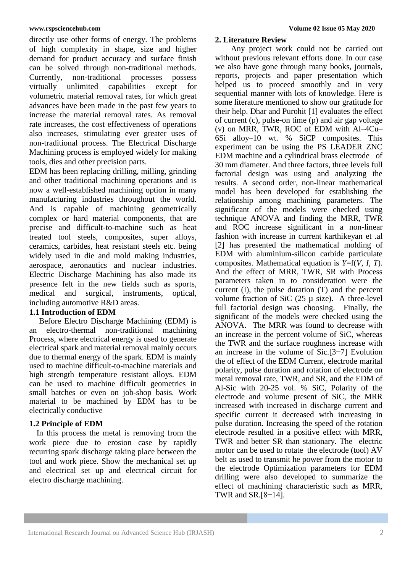directly use other forms of energy. The problems of high complexity in shape, size and higher demand for product accuracy and surface finish can be solved through non-traditional methods. Currently, non-traditional processes possess virtually unlimited capabilities except for volumetric material removal rates, for which great advances have been made in the past few years to increase the material removal rates. As removal rate increases, the cost effectiveness of operations also increases, stimulating ever greater uses of non-traditional process. The Electrical Discharge Machining process is employed widely for making tools, dies and other precision parts.

EDM has been replacing drilling, milling, grinding and other traditional machining operations and is now a well-established machining option in many manufacturing industries throughout the world. And is capable of machining geometrically complex or hard material components, that are precise and difficult-to-machine such as heat treated tool steels, composites, super alloys, ceramics, carbides, heat resistant steels etc. being widely used in die and mold making industries, aerospace, aeronautics and nuclear industries. Electric Discharge Machining has also made its presence felt in the new fields such as sports, medical and surgical, instruments, optical, including automotive R&D areas.

# **1.1 Introduction of EDM**

Before Electro Discharge Machining (EDM) is an electro-thermal non-traditional machining Process, where electrical energy is used to generate electrical spark and material removal mainly occurs due to thermal energy of the spark. EDM is mainly used to machine difficult-to-machine materials and high strength temperature resistant alloys. EDM can be used to machine difficult geometries in small batches or even on job-shop basis. Work material to be machined by EDM has to be electrically conductive

# **1.2 Principle of EDM**

In this process the metal is removing from the work piece due to erosion case by rapidly recurring spark discharge taking place between the tool and work piece. Show the mechanical set up and electrical set up and electrical circuit for electro discharge machining.

## **2. Literature Review**

 Any project work could not be carried out without previous relevant efforts done. In our case we also have gone through many books, journals, reports, projects and paper presentation which helped us to proceed smoothly and in very sequential manner with lots of knowledge. Here is some literature mentioned to show our gratitude for their help. Dhar and Purohit [1] evaluates the effect of current (c), pulse-on time (p) and air gap voltage (v) on MRR, TWR, ROC of EDM with Al–4Cu– 6Si alloy–10 wt. % SiCP composites. This experiment can be using the PS LEADER ZNC EDM machine and a cylindrical brass electrode of 30 mm diameter. And three factors, three levels full factorial design was using and analyzing the results. A second order, non-linear mathematical model has been developed for establishing the relationship among machining parameters. The significant of the models were checked using technique ANOVA and finding the MRR, TWR and ROC increase significant in a non-linear fashion with increase in current karthikeyan et .al [2] has presented the mathematical molding of EDM with aluminium-silicon carbide particulate composites. Mathematical equation is *Y*=f(*V*, *I*, *T*). And the effect of MRR, TWR, SR with Process parameters taken in to consideration were the current (I), the pulse duration (T) and the percent volume fraction of SiC  $(25 \mu \text{ size})$ . A three-level full factorial design was choosing. Finally, the significant of the models were checked using the ANOVA. The MRR was found to decrease with an increase in the percent volume of SiC, whereas the TWR and the surface roughness increase with an increase in the volume of Sic.[3−7] Evolution the of effect of the EDM Current, electrode marital polarity, pulse duration and rotation of electrode on metal removal rate, TWR, and SR, and the EDM of Al-Sic with 20-25 vol. % SiC, Polarity of the electrode and volume present of SiC, the MRR increased with increased in discharge current and specific current it decreased with increasing in pulse duration. Increasing the speed of the rotation electrode resulted in a positive effect with MRR, TWR and better SR than stationary. The electric motor can be used to rotate the electrode (tool) AV belt as used to transmit he power from the motor to the electrode Optimization parameters for EDM drilling were also developed to summarize the effect of machining characteristic such as MRR, TWR and SR.[8−14].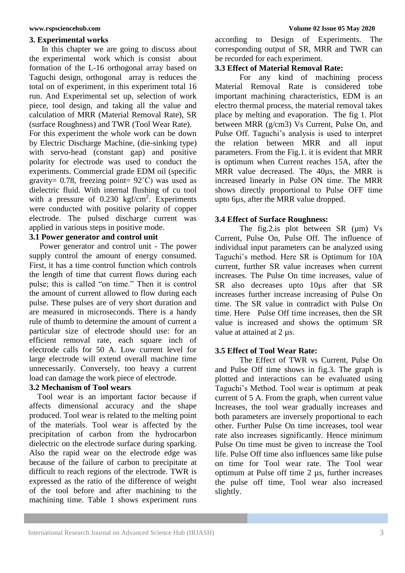#### **3. Experimental works**

 In this chapter we are going to discuss about the experimental work which is consist about formation of the L-16 orthogonal array based on Taguchi design, orthogonal array is reduces the total on of experiment, in this experiment total 16 run. And Experimental set up, selection of work piece, tool design, and taking all the value and calculation of MRR (Material Removal Rate), SR (surface Roughness) and TWR (Tool Wear Rate). For this experiment the whole work can be down by Electric Discharge Machine, (die-sinking type) with servo-head (constant gap) and positive polarity for electrode was used to conduct the experiments. Commercial grade EDM oil (specific gravity= 0.78, freezing point=  $92^{\circ}$ C) was used as dielectric fluid. With internal flushing of cu tool

with a pressure of  $0.230 \text{ kgf/cm}^2$ . Experiments were conducted with positive polarity of copper electrode. The pulsed discharge current was applied in various steps in positive mode.

# **3.1 Power generator and control unit**

 Power generator and control unit - The power supply control the amount of energy consumed. First, it has a time control function which controls the length of time that current flows during each pulse; this is called "on time." Then it is control the amount of current allowed to flow during each pulse. These pulses are of very short duration and are measured in microseconds. There is a handy rule of thumb to determine the amount of current a particular size of electrode should use: for an efficient removal rate, each square inch of electrode calls for 50 A. Low current level for large electrode will extend overall machine time unnecessarily. Conversely, too heavy a current load can damage the work piece of electrode.

# **3.2 Mechanism of Tool wears**

 Tool wear is an important factor because if affects dimensional accuracy and the shape produced. Tool wear is related to the melting point of the materials. Tool wear is affected by the precipitation of carbon from the hydrocarbon dielectric on the electrode surface during sparking. Also the rapid wear on the electrode edge was because of the failure of carbon to precipitate at difficult to reach regions of the electrode. TWR is expressed as the ratio of the difference of weight of the tool before and after machining to the machining time. Table 1 shows experiment runs

according to Design of Experiments. The corresponding output of SR, MRR and TWR can be recorded for each experiment.

## **3.3 Effect of Material Removal Rate:**

For any kind of machining process Material Removal Rate is considered tobe important machining characteristics, EDM is an electro thermal process, the material removal takes place by melting and evaporation. The fig 1. Plot between MRR (g/cm3) Vs Current, Pulse On, and Pulse Off. Taguchi's analysis is used to interpret the relation between MRR and all input parameters. From the Fig.1. it is evident that MRR is optimum when Current reaches 15A, after the MRR value decreased. The 40us, the MRR is increased linearly in Pulse ON time. The MRR shows directly proportional to Pulse OFF time upto 6µs, after the MRR value dropped.

# **3.4 Effect of Surface Roughness:**

The fig.2.is plot between SR  $(\mu m)$  Vs Current, Pulse On, Pulse Off. The influence of individual input parameters can be analyzed using Taguchi's method. Here SR is Optimum for 10A current, further SR value increases when current increases. The Pulse On time increases, value of SR also decreases upto 10 $\mu$ s after that SR increases further increase increasing of Pulse On time. The SR value in contradict with Pulse On time. Here Pulse Off time increases, then the SR value is increased and shows the optimum SR value at attained at 2 µs.

# **3.5 Effect of Tool Wear Rate:**

The Effect of TWR vs Current, Pulse On and Pulse Off time shows in fig.3. The graph is plotted and interactions can be evaluated using Taguchi's Method. Tool wear is optimum at peak current of 5 A. From the graph, when current value Increases, the tool wear gradually increases and both parameters are inversely proportional to each other. Further Pulse On time increases, tool wear rate also increases significantly. Hence minimum Pulse On time must be given to increase the Tool life. Pulse Off time also influences same like pulse on time for Tool wear rate. The Tool wear optimum at Pulse off time 2 µs, further increases the pulse off time, Tool wear also increased slightly.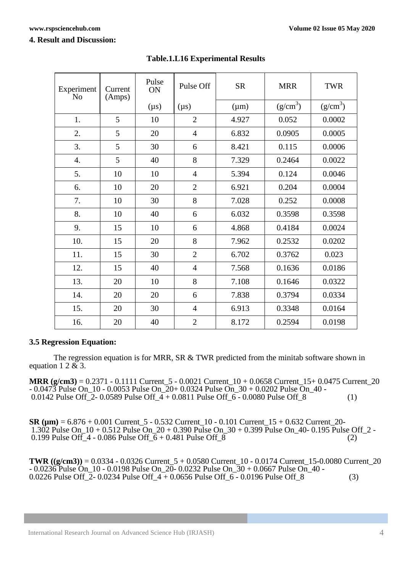### **4. Result and Discussion:**

| Experiment<br>N <sub>0</sub> | Current<br>(Amps) | Pulse<br>ON | Pulse Off      | <b>SR</b> | <b>MRR</b> | <b>TWR</b> |
|------------------------------|-------------------|-------------|----------------|-----------|------------|------------|
|                              |                   | $(\mu s)$   | $(\mu s)$      | $(\mu m)$ | $(g/cm^3)$ | $(g/cm^3)$ |
| 1.                           | 5                 | 10          | $\overline{2}$ | 4.927     | 0.052      | 0.0002     |
| 2.                           | 5                 | 20          | $\overline{4}$ | 6.832     | 0.0905     | 0.0005     |
| 3.                           | 5                 | 30          | 6              | 8.421     | 0.115      | 0.0006     |
| $\overline{4}$ .             | 5                 | 40          | 8              | 7.329     | 0.2464     | 0.0022     |
| 5.                           | 10                | 10          | $\overline{4}$ | 5.394     | 0.124      | 0.0046     |
| 6.                           | 10                | 20          | $\overline{2}$ | 6.921     | 0.204      | 0.0004     |
| 7.                           | 10                | 30          | 8              | 7.028     | 0.252      | 0.0008     |
| 8.                           | 10                | 40          | 6              | 6.032     | 0.3598     | 0.3598     |
| 9.                           | 15                | 10          | 6              | 4.868     | 0.4184     | 0.0024     |
| 10.                          | 15                | 20          | 8              | 7.962     | 0.2532     | 0.0202     |
| 11.                          | 15                | 30          | $\overline{2}$ | 6.702     | 0.3762     | 0.023      |
| 12.                          | 15                | 40          | $\overline{4}$ | 7.568     | 0.1636     | 0.0186     |
| 13.                          | 20                | 10          | 8              | 7.108     | 0.1646     | 0.0322     |
| 14.                          | 20                | 20          | 6              | 7.838     | 0.3794     | 0.0334     |
| 15.                          | 20                | 30          | $\overline{4}$ | 6.913     | 0.3348     | 0.0164     |
| 16.                          | 20                | 40          | $\overline{2}$ | 8.172     | 0.2594     | 0.0198     |

# **Table.1.L16 Experimental Results**

# **3.5 Regression Equation:**

The regression equation is for MRR, SR & TWR predicted from the minitab software shown in equation  $1 \ 2 \ \& \ 3$ .

**MRR (g/cm3)** = 0.2371 - 0.1111 Current\_5 - 0.0021 Current\_10 + 0.0658 Current\_15+ 0.0475 Current\_20 - 0.0473 Pulse On\_10 - 0.0053 Pulse On\_20+ 0.0324 Pulse On\_30 + 0.0202 Pulse On\_40 - 0.0142 Pulse Off\_2- 0.0589 Pulse Off\_4 + 0.0811 Pulse Off\_6 - 0.0080 Pulse Off\_8 (1)

**SR (µm)** = 6.876 + 0.001 Current\_5 - 0.532 Current\_10 - 0.101 Current\_15 + 0.632 Current\_20- 1.302 Pulse On\_10 + 0.512 Pulse On\_20 + 0.390 Pulse On\_30 + 0.399 Pulse On\_40- 0.195 Pulse Off\_2 - 0.199 Pulse Off\_4 - 0.086 Pulse Off\_6 + 0.481 Pulse Off\_8 (2) 0.199 Pulse Off\_4 - 0.086 Pulse Off\_6 + 0.481 Pulse Off\_8

**TWR ((g/cm3))** = 0.0334 - 0.0326 Current\_5 + 0.0580 Current\_10 - 0.0174 Current\_15-0.0080 Current\_20  $-0.0236$  Pulse On 10 - 0.0198 Pulse On  $20 - 0.0232$  Pulse On  $30 + 0.0667$  Pulse On 40 -0.0226 Pulse Off\_ $\overline{2}$ - 0.0234 Pulse Off\_ $\overline{4}$  + 0.0656 Pulse Off\_ $\overline{6}$  - 0.0196 Pulse Off\_8 (3)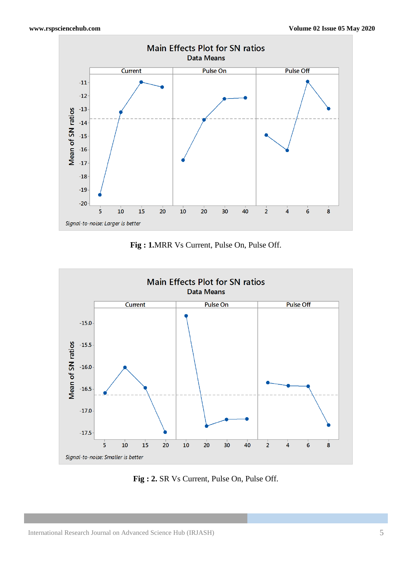

**Fig : 1.**MRR Vs Current, Pulse On, Pulse Off.



**Fig : 2.** SR Vs Current, Pulse On, Pulse Off.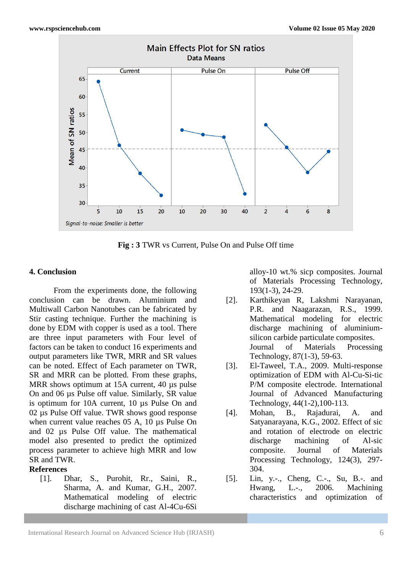

**Fig : 3** TWR vs Current, Pulse On and Pulse Off time

#### **4. Conclusion**

From the experiments done, the following conclusion can be drawn. Aluminium and Multiwall Carbon Nanotubes can be fabricated by Stir casting technique. Further the machining is done by EDM with copper is used as a tool. There are three input parameters with Four level of factors can be taken to conduct 16 experiments and output parameters like TWR, MRR and SR values can be noted. Effect of Each parameter on TWR, SR and MRR can be plotted. From these graphs, MRR shows optimum at 15A current, 40 µs pulse On and 06 µs Pulse off value. Similarly, SR value is optimum for 10A current, 10 µs Pulse On and 02 µs Pulse Off value. TWR shows good response when current value reaches 05 A, 10 us Pulse On and 02 µs Pulse Off value. The mathematical model also presented to predict the optimized process parameter to achieve high MRR and low SR and TWR.

#### **References**

[1]. Dhar, S., Purohit, Rr., Saini, R., Sharma, A. and Kumar, G.H., 2007. Mathematical modeling of electric discharge machining of cast Al-4Cu-6Si alloy-10 wt.% sicp composites. Journal of Materials Processing Technology, 193(1-3), 24-29.

- [2]. Karthikeyan R, Lakshmi Narayanan, P.R. and Naagarazan, R.S., 1999. Mathematical modeling for electric discharge machining of aluminiumsilicon carbide particulate composites. Journal of Materials Processing Technology, 87(1-3), 59-63.
- [3]. El-Taweel, T.A., 2009. Multi-response optimization of EDM with Al-Cu-Si-tic P/M composite electrode. International Journal of Advanced Manufacturing Technology, 44(1-2),100-113.
- [4]. Mohan, B., Rajadurai, A. and Satyanarayana, K.G., 2002. Effect of sic and rotation of electrode on electric discharge machining of Al-sic composite. Journal of Materials Processing Technology, 124(3), 297- 304.
- [5]. Lin, y.-., Cheng, C.-., Su, B.-. and Hwang, L.-., 2006. Machining characteristics and optimization of